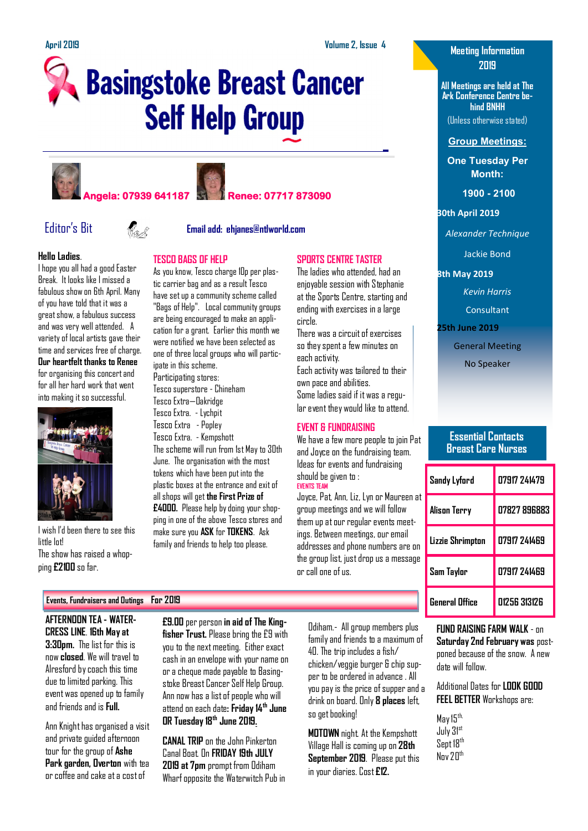**SPORTS CENTRE TASTER** The ladies who attended, had an enjoyable session with Stephanie at the Sports Centre, starting and ending with exercises in a large

There was a circuit of exercises so they spent a few minutes on

Each activity was tailored to their

Some ladies said if it was a regular event they would like to attend.

We have a few more people to join Pat and Joyce on the fundraising team. Ideas for events and fundraising

Joyce, Pat, Ann, Liz, Lyn or Maureen at group meetings and we will follow them up at our regular events meetings. Between meetings, our email addresses and phone numbers are on the group list, just drop us a message

circle.

each activity.

own pace and abilities.

**EVENT & FUNDRAISING**

should be given to :

or call one of us.

**EVENTS TEAM**

# **Basingstoke Breast Cancer Self Help Group**

**TESCO BAGS OF HELP** 

ipate in this scheme. Participating stores: Tesco superstore - Chineham Tesco Extra—Oakridge Tesco Extra. - Lychpit Tesco Extra - Popley Tesco Extra. - Kempshott

As you know, Tesco charge 10p per plastic carrier bag and as a result Tesco have set up a community scheme called "Bags of Help". Local community groups are being encouraged to make an application for a grant. Earlier this month we were notified we have been selected as one of three local groups who will partic-

The scheme will run from 1st May to 30th June. The organisation with the most tokens which have been put into the plastic boxes at the entrance and exit of all shops will get **the First Prize of £4000.** Please help by doing your shopping in one of the above Tesco stores and make sure you **ASK** for **TOKENS**. Ask family and friends to help too please.









Editor's Bit **Email add: ehjanes@ntlworld.com**

### **Hello Ladies**.

I hope you all had a good Easter Break. It looks like I missed a fabulous show on 6th April. Many of you have told that it was a great show, a fabulous success and was very well attended. A variety of local artists gave their time and services free of charge. **Our heartfelt thanks to Renee**  for organising this concert and for all her hard work that went into making it so successful.



I wish I'd been there to see this little lot! The show has raised a whopping **£2100** so far.

### **Events, Fundraisers and Outings For 2019**

**AFTERNOON TEA - WATER-CRESS LINE**. **16th May at 3:30pm.** The list for this is now **closed**. We will travel to Alresford by coach this time due to limited parking. This event was opened up to family and friends and is **Full.**

Ann Knight has organised a visit and private guided afternoon tour for the group of **Ashe Park garden, Overton** with tea or coffee and cake at a cost of

**£9.00** per person **in aid of The Kingfisher Trust.** Please bring the £9 with you to the next meeting. Either exact cash in an envelope with your name on or a cheque made payable to Basingstoke Breast Cancer Self Help Group. Ann now has a list of people who will attend on each date**: Friday 14th June OR Tuesday 18th June 2019.** 

**CANAL TRIP** on the John Pinkerton Canal Boat. On **FRIDAY 19th JULY 2019 at 7pm** prompt from Odiham Wharf opposite the Waterwitch Pub in Odiham.- All group members plus family and friends to a maximum of 40. The trip includes a fish/ chicken/veggie burger & chip supper to be ordered in advance . All you pay is the price of supper and a drink on board. Only **8 places** left, so get booking!

**MOTOWN** night. At the Kempshott Village Hall is coming up on **28th September 2019**. Please put this in your diaries. Cost **£12.**

### **Meeting Information 2019**

**All Meetings are held at The Ark Conference Centre behind BNHH**

(Unless otherwise stated)

### **Group Meetings:**

**One Tuesday Per Month:**

**1900 - 2100** 

**30th April 2019**

*Alexander Technique*

Jackie Bond

**8th May 2019**

*Kevin Harris*

Consultant

**25th June 2019**

General Meeting

No Speaker

### **Essential Contacts Breast Care Nurses**

| Sandy Lyford     | 07917 241479 |
|------------------|--------------|
| Alison Terry     | 07827 896883 |
| Lizzie Shrimpton | 07917 741469 |
| Sam Taylor       | 07917 241469 |
| General Office   | N1256 313126 |

**FUND RAISING FARM WALK** - on **Saturday 2nd February was** postponed because of the snow. A new date will follow.

Additional Dates for **LOOK GOOD FEEL BETTER** Workshops are:

May 15<sup>th,</sup> July 31st Sept 18<sup>th</sup>  $N_{\text{nv}}$  2 $\Pi^{\text{th}}$